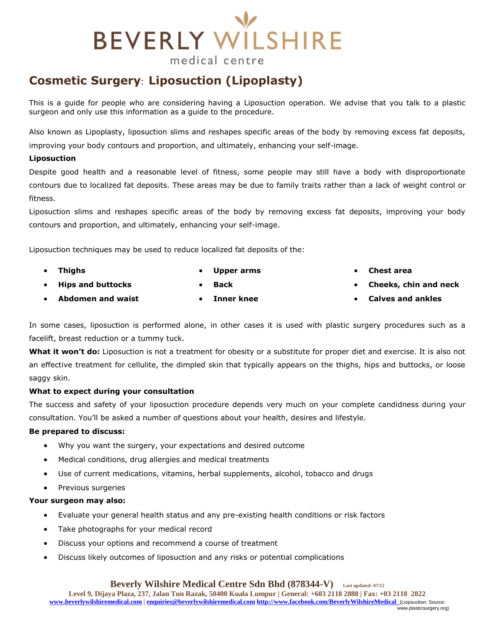## **BEVERLY WILSHIRE** medical centre

### **Cosmetic Surgery**: **Liposuction (Lipoplasty)**

This is a guide for people who are considering having a Liposuction operation. We advise that you talk to a plastic surgeon and only use this information as a guide to the procedure.

Also known as Lipoplasty, liposuction slims and reshapes specific areas of the body by removing excess fat deposits, improving your body contours and proportion, and ultimately, enhancing your self-image.

#### **Liposuction**

Despite good health and a reasonable level of fitness, some people may still have a body with disproportionate contours due to localized fat deposits. These areas may be due to family traits rather than a lack of weight control or fitness.

Liposuction slims and reshapes specific areas of the body by removing excess fat deposits, improving your body contours and proportion, and ultimately, enhancing your self-image.

Liposuction techniques may be used to reduce localized fat deposits of the:

- **Thighs Upper arms**
- **Hips and buttocks**

**Abdomen and waist**

**Back**

**Inner knee**

- **Chest area**
- **Cheeks, chin and neck**
- **Calves and ankles**

In some cases, liposuction is performed alone, in other cases it is used with plastic surgery procedures such as a facelift, breast reduction or a tummy tuck.

**What it won't do:** Liposuction is not a treatment for obesity or a substitute for proper diet and exercise. It is also not an effective treatment for cellulite, the dimpled skin that typically appears on the thighs, hips and buttocks, or loose saggy skin.

### **What to expect during your consultation**

The success and safety of your liposuction procedure depends very much on your complete candidness during your consultation. You'll be asked a number of questions about your health, desires and lifestyle.

### **Be prepared to discuss:**

- Why you want the surgery, your expectations and desired outcome
- Medical conditions, drug allergies and medical treatments
- Use of current medications, vitamins, herbal supplements, alcohol, tobacco and drugs
- Previous surgeries

### **Your surgeon may also:**

- Evaluate your general health status and any pre-existing health conditions or risk factors
- Take photographs for your medical record
- Discuss your options and recommend a course of treatment
- Discuss likely outcomes of liposuction and any risks or potential complications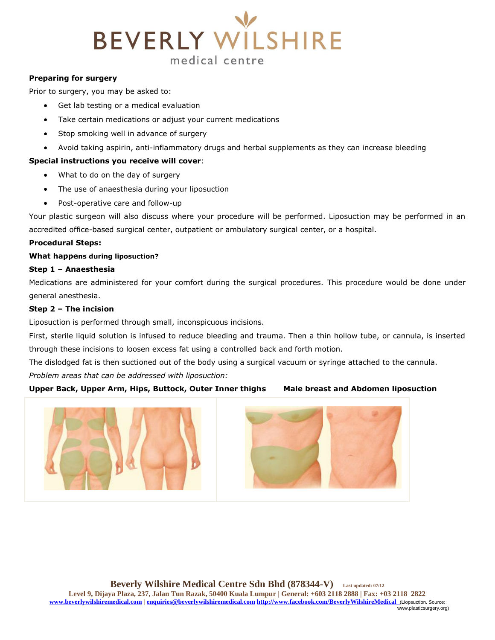# **BEVERLY WILSHIRE** medical centre

#### **Preparing for surgery**

Prior to surgery, you may be asked to:

- Get lab testing or a medical evaluation
- Take certain medications or adjust your current medications
- Stop smoking well in advance of surgery
- Avoid taking aspirin, anti-inflammatory drugs and herbal supplements as they can increase bleeding

#### **Special instructions you receive will cover**:

- What to do on the day of surgery
- The use of anaesthesia during your liposuction
- Post-operative care and follow-up

Your plastic surgeon will also discuss where your procedure will be performed. Liposuction may be performed in an accredited office-based surgical center, outpatient or ambulatory surgical center, or a hospital.

#### **Procedural Steps:**

#### **What happens during liposuction?**

#### **Step 1 – Anaesthesia**

Medications are administered for your comfort during the surgical procedures. This procedure would be done under general anesthesia.

#### **Step 2 – The incision**

Liposuction is performed through small, inconspicuous incisions.

First, sterile liquid solution is infused to reduce bleeding and trauma. Then a thin hollow tube, or cannula, is inserted through these incisions to loosen excess fat using a controlled back and forth motion.

The dislodged fat is then suctioned out of the body using a surgical vacuum or syringe attached to the cannula.

*Problem areas that can be addressed with liposuction:*

#### **Upper Back, Upper Arm, Hips, Buttock, Outer Inner thighs Male breast and Abdomen liposuction**



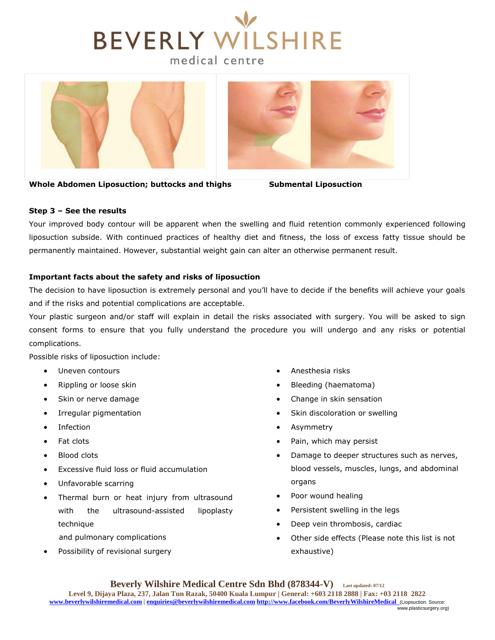





**Whole Abdomen Liposuction; buttocks and thighs Submental Liposuction**

#### **Step 3 – See the results**

Your improved body contour will be apparent when the swelling and fluid retention commonly experienced following liposuction subside. With continued practices of healthy diet and fitness, the loss of excess fatty tissue should be permanently maintained. However, substantial weight gain can alter an otherwise permanent result.

#### **Important facts about the safety and risks of liposuction**

The decision to have liposuction is extremely personal and you'll have to decide if the benefits will achieve your goals and if the risks and potential complications are acceptable.

Your plastic surgeon and/or staff will explain in detail the risks associated with surgery. You will be asked to sign consent forms to ensure that you fully understand the procedure you will undergo and any risks or potential complications.

Possible risks of liposuction include:

- Uneven contours
- Rippling or loose skin
- Skin or nerve damage
- Irregular pigmentation
- Infection
- Fat clots
- Blood clots
- Excessive fluid loss or fluid accumulation
- Unfavorable scarring
- Thermal burn or heat injury from ultrasound with the ultrasound-assisted lipoplasty technique

and pulmonary complications

Possibility of revisional surgery

- Anesthesia risks
- Bleeding (haematoma)
- Change in skin sensation
- Skin discoloration or swelling
- Asymmetry
- Pain, which may persist
- Damage to deeper structures such as nerves, blood vessels, muscles, lungs, and abdominal organs
- Poor wound healing
- Persistent swelling in the legs
- Deep vein thrombosis, cardiac
- Other side effects (Please note this list is not exhaustive)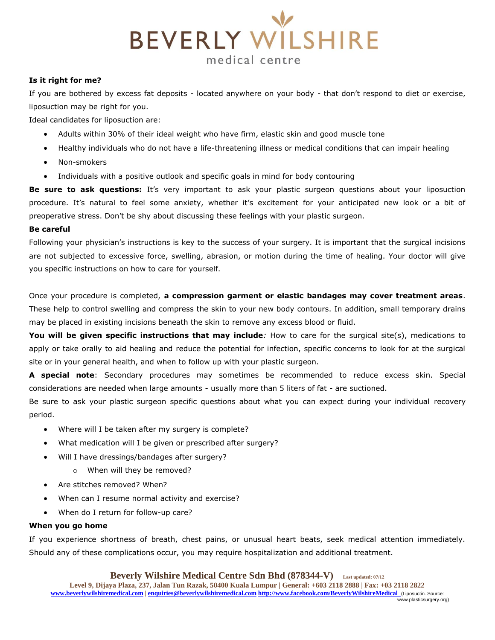

#### **Is it right for me?**

If you are bothered by excess fat deposits - located anywhere on your body - that don't respond to diet or exercise, liposuction may be right for you.

Ideal candidates for liposuction are:

- Adults within 30% of their ideal weight who have firm, elastic skin and good muscle tone
- Healthy individuals who do not have a life-threatening illness or medical conditions that can impair healing
- Non-smokers
- Individuals with a positive outlook and specific goals in mind for body contouring

**Be sure to ask questions:** It's very important to ask your plastic surgeon questions about your liposuction procedure. It's natural to feel some anxiety, whether it's excitement for your anticipated new look or a bit of preoperative stress. Don't be shy about discussing these feelings with your plastic surgeon.

#### **Be careful**

Following your physician's instructions is key to the success of your surgery. It is important that the surgical incisions are not subjected to excessive force, swelling, abrasion, or motion during the time of healing. Your doctor will give you specific instructions on how to care for yourself.

Once your procedure is completed, **a compression garment or elastic bandages may cover treatment areas**. These help to control swelling and compress the skin to your new body contours. In addition, small temporary drains may be placed in existing incisions beneath the skin to remove any excess blood or fluid.

**You will be given specific instructions that may include***:* How to care for the surgical site(s), medications to apply or take orally to aid healing and reduce the potential for infection, specific concerns to look for at the surgical site or in your general health, and when to follow up with your plastic surgeon.

**A special note**: Secondary procedures may sometimes be recommended to reduce excess skin. Special considerations are needed when large amounts - usually more than 5 liters of fat - are suctioned.

Be sure to ask your plastic surgeon specific questions about what you can expect during your individual recovery period.

- Where will I be taken after my surgery is complete?
- What medication will I be given or prescribed after surgery?
- Will I have dressings/bandages after surgery?
	- o When will they be removed?
- Are stitches removed? When?
- When can I resume normal activity and exercise?
- When do I return for follow-up care?

#### **When you go home**

If you experience shortness of breath, chest pains, or unusual heart beats, seek medical attention immediately. Should any of these complications occur, you may require hospitalization and additional treatment.

**Beverly Wilshire Medical Centre Sdn Bhd (878344-V) Last updated: 07/12 Level 9, Dijaya Plaza, 237, Jalan Tun Razak, 50400 Kuala Lumpur | General: +603 2118 2888 | Fax: +03 2118 2822 www.beverlywilshiremedical.com | enquiries@beverlywilshiremedical.com http://www.facebook.com/BeverlyWilshireMedical** (Liposuctin. Source: www.plasticsurgery.org)